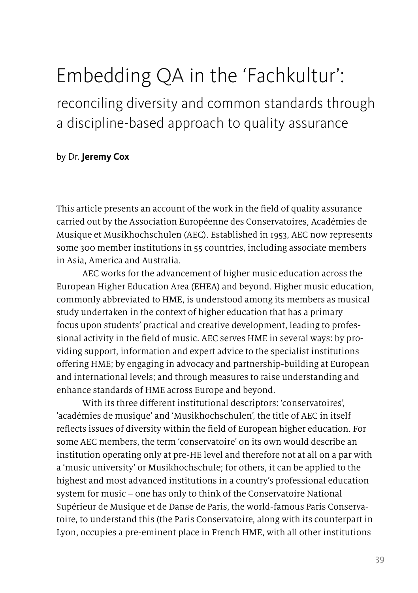# Embedding QA in the 'Fachkultur':

reconciling diversity and common standards through a discipline-based approach to quality assurance

#### by Dr. **Jeremy Cox**

This article presents an account of the work in the field of quality assurance carried out by the Association Européenne des Conservatoires, Académies de Musique et Musikhochschulen (AEC). Established in 1953, AEC now represents some 300 [member institutions](http://aecsite.cramgo.nl/MembersView.aspx?id=-2) in 55 countries, including associate members in Asia, America and Australia.

AEC works for the advancement of higher music education across the European Higher Education Area (EHEA) and beyond. Higher music education, commonly abbreviated to HME, is understood among its members as musical study undertaken in the context of higher education that has a primary focus upon students' practical and creative development, leading to professional activity in the field of music. AEC serves HME in several ways: by providing support, information and expert advice to the specialist institutions offering HME; by engaging in advocacy and partnership-building at European and international levels; and through measures to raise understanding and enhance standards of HME across Europe and beyond.

With its three different institutional descriptors: 'conservatoires', 'académies de musique' and 'Musikhochschulen', the title of AEC in itself reflects issues of diversity within the field of European higher education. For some AEC members, the term 'conservatoire' on its own would describe an institution operating only at pre-HE level and therefore not at all on a par with a 'music university' or Musikhochschule; for others, it can be applied to the highest and most advanced institutions in a country's professional education system for music – one has only to think of the Conservatoire National Supérieur de Musique et de Danse de Paris, the world-famous Paris Conservatoire, to understand this (the Paris Conservatoire, along with its counterpart in Lyon, occupies a pre-eminent place in French HME, with all other institutions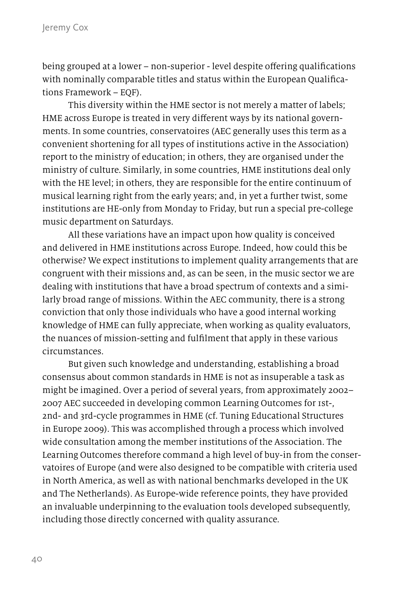being grouped at a lower – non-superior - level despite offering qualifications with nominally comparable titles and status within the European Qualifications Framework – EQF).

This diversity within the HME sector is not merely a matter of labels; HME across Europe is treated in very different ways by its national governments. In some countries, conservatoires (AEC generally uses this term as a convenient shortening for all types of institutions active in the Association) report to the ministry of education; in others, they are organised under the ministry of culture. Similarly, in some countries, HME institutions deal only with the HE level; in others, they are responsible for the entire continuum of musical learning right from the early years; and, in yet a further twist, some institutions are HE-only from Monday to Friday, but run a special pre-college music department on Saturdays.

All these variations have an impact upon how quality is conceived and delivered in HME institutions across Europe. Indeed, how could this be otherwise? We expect institutions to implement quality arrangements that are congruent with their missions and, as can be seen, in the music sector we are dealing with institutions that have a broad spectrum of contexts and a similarly broad range of missions. Within the AEC community, there is a strong conviction that only those individuals who have a good internal working knowledge of HME can fully appreciate, when working as quality evaluators, the nuances of mission-setting and fulfilment that apply in these various circumstances.

But given such knowledge and understanding, establishing a broad consensus about common standards in HME is not as insuperable a task as might be imagined. Over a period of several years, from approximately 2002– 2007 AEC succeeded in developing common Learning Outcomes for 1st-, 2nd- and 3rd-cycle programmes in HME (cf. Tuning Educational Structures in Europe 2009). This was accomplished through a process which involved wide consultation among the member institutions of the Association. The Learning Outcomes therefore command a high level of buy-in from the conservatoires of Europe (and were also designed to be compatible with criteria used in North America, as well as with national benchmarks developed in the UK and The Netherlands). As Europe-wide reference points, they have provided an invaluable underpinning to the evaluation tools developed subsequently, including those directly concerned with quality assurance.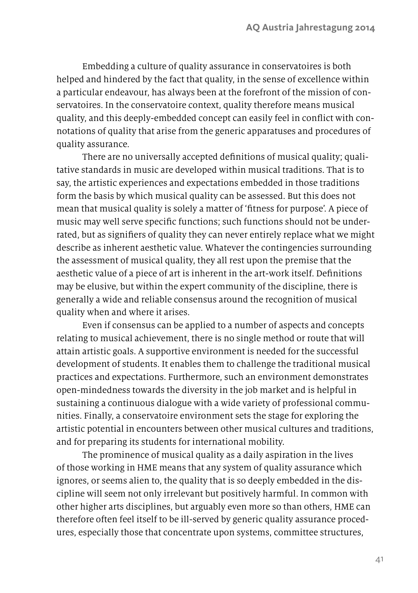Embedding a culture of quality assurance in conservatoires is both helped and hindered by the fact that quality, in the sense of excellence within a particular endeavour, has always been at the forefront of the mission of conservatoires. In the conservatoire context, quality therefore means musical quality, and this deeply-embedded concept can easily feel in conflict with connotations of quality that arise from the generic apparatuses and procedures of quality assurance.

There are no universally accepted definitions of musical quality; qualitative standards in music are developed within musical traditions. That is to say, the artistic experiences and expectations embedded in those traditions form the basis by which musical quality can be assessed. But this does not mean that musical quality is solely a matter of 'fitness for purpose'. A piece of music may well serve specific functions; such functions should not be underrated, but as signifiers of quality they can never entirely replace what we might describe as inherent aesthetic value. Whatever the contingencies surrounding the assessment of musical quality, they all rest upon the premise that the aesthetic value of a piece of art is inherent in the art-work itself. Definitions may be elusive, but within the expert community of the discipline, there is generally a wide and reliable consensus around the recognition of musical quality when and where it arises.

Even if consensus can be applied to a number of aspects and concepts relating to musical achievement, there is no single method or route that will attain artistic goals. A supportive environment is needed for the successful development of students. It enables them to challenge the traditional musical practices and expectations. Furthermore, such an environment demonstrates open-mindedness towards the diversity in the job market and is helpful in sustaining a continuous dialogue with a wide variety of professional communities. Finally, a conservatoire environment sets the stage for exploring the artistic potential in encounters between other musical cultures and traditions, and for preparing its students for international mobility.

The prominence of musical quality as a daily aspiration in the lives of those working in HME means that any system of quality assurance which ignores, or seems alien to, the quality that is so deeply embedded in the discipline will seem not only irrelevant but positively harmful. In common with other higher arts disciplines, but arguably even more so than others, HME can therefore often feel itself to be ill-served by generic quality assurance procedures, especially those that concentrate upon systems, committee structures,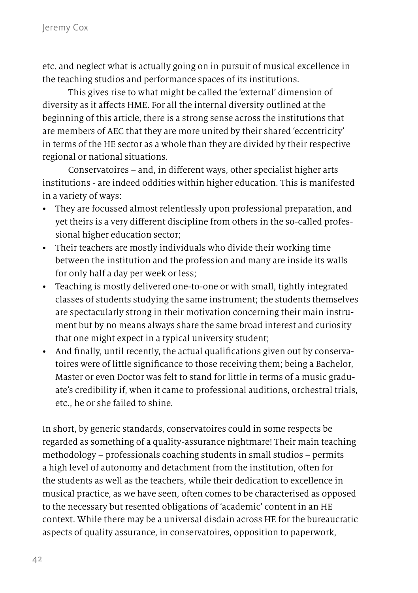etc. and neglect what is actually going on in pursuit of musical excellence in the teaching studios and performance spaces of its institutions.

This gives rise to what might be called the 'external' dimension of diversity as it affects HME. For all the internal diversity outlined at the beginning of this article, there is a strong sense across the institutions that are members of AEC that they are more united by their shared 'eccentricity' in terms of the HE sector as a whole than they are divided by their respective regional or national situations.

Conservatoires – and, in different ways, other specialist higher arts institutions - are indeed oddities within higher education. This is manifested in a variety of ways:

- They are focussed almost relentlessly upon professional preparation, and yet theirs is a very different discipline from others in the so-called professional higher education sector;
- Their teachers are mostly individuals who divide their working time between the institution and the profession and many are inside its walls for only half a day per week or less;
- Teaching is mostly delivered one-to-one or with small, tightly integrated classes of students studying the same instrument; the students themselves are spectacularly strong in their motivation concerning their main instrument but by no means always share the same broad interest and curiosity that one might expect in a typical university student;
- And finally, until recently, the actual qualifications given out by conservatoires were of little significance to those receiving them; being a Bachelor, Master or even Doctor was felt to stand for little in terms of a music graduate's credibility if, when it came to professional auditions, orchestral trials, etc., he or she failed to shine.

In short, by generic standards, conservatoires could in some respects be regarded as something of a quality-assurance nightmare! Their main teaching methodology – professionals coaching students in small studios – permits a high level of autonomy and detachment from the institution, often for the students as well as the teachers, while their dedication to excellence in musical practice, as we have seen, often comes to be characterised as opposed to the necessary but resented obligations of 'academic' content in an HE context. While there may be a universal disdain across HE for the bureaucratic aspects of quality assurance, in conservatoires, opposition to paperwork,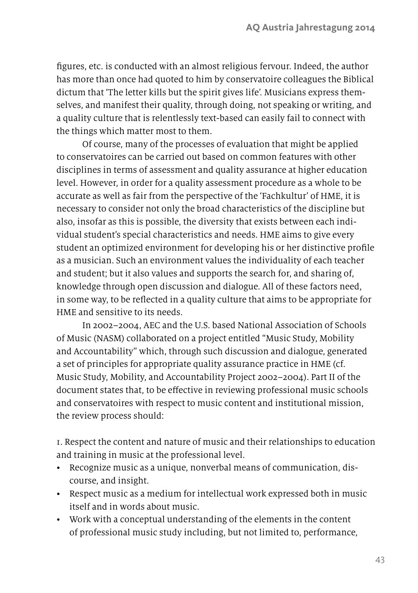figures, etc. is conducted with an almost religious fervour. Indeed, the author has more than once had quoted to him by conservatoire colleagues the Biblical dictum that 'The letter kills but the spirit gives life'. Musicians express themselves, and manifest their quality, through doing, not speaking or writing, and a quality culture that is relentlessly text-based can easily fail to connect with the things which matter most to them.

Of course, many of the processes of evaluation that might be applied to conservatoires can be carried out based on common features with other disciplines in terms of assessment and quality assurance at higher education level. However, in order for a quality assessment procedure as a whole to be accurate as well as fair from the perspective of the 'Fachkultur' of HME, it is necessary to consider not only the broad characteristics of the discipline but also, insofar as this is possible, the diversity that exists between each individual student's special characteristics and needs. HME aims to give every student an optimized environment for developing his or her distinctive profile as a musician. Such an environment values the individuality of each teacher and student; but it also values and supports the search for, and sharing of, knowledge through open discussion and dialogue. All of these factors need, in some way, to be reflected in a quality culture that aims to be appropriate for HME and sensitive to its needs.

In 2002–2004, AEC and the U.S. based National Association of Schools of Music (NASM) collaborated on a project entitled "Music Study, Mobility and Accountability" which, through such discussion and dialogue, generated a set of principles for appropriate quality assurance practice in HME (cf. Music Study, Mobility, and Accountability Project 2002–2004). Part II of the document states that, to be effective in reviewing professional music schools and conservatoires with respect to music content and institutional mission, the review process should:

1. Respect the content and nature of music and their relationships to education and training in music at the professional level.

- Recognize music as a unique, nonverbal means of communication, discourse, and insight.
- Respect music as a medium for intellectual work expressed both in music itself and in words about music.
- Work with a conceptual understanding of the elements in the content of professional music study including, but not limited to, performance,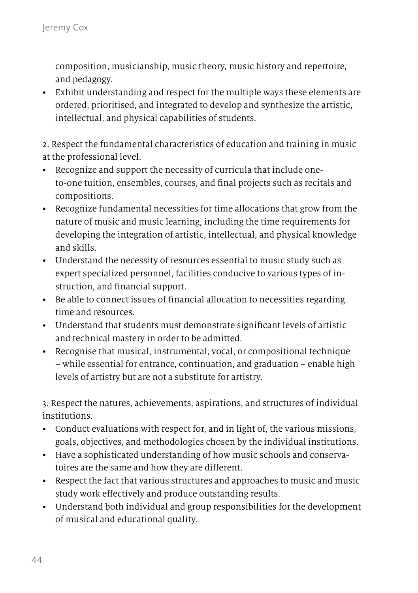composition, musicianship, music theory, music history and repertoire, and pedagogy.

• Exhibit understanding and respect for the multiple ways these elements are ordered, prioritised, and integrated to develop and synthesize the artistic, intellectual, and physical capabilities of students.

2. Respect the fundamental characteristics of education and training in music at the professional level.

- Recognize and support the necessity of curricula that include oneto-one tuition, ensembles, courses, and final projects such as recitals and compositions.
- Recognize fundamental necessities for time allocations that grow from the nature of music and music learning, including the time requirements for developing the integration of artistic, intellectual, and physical knowledge and skills.
- Understand the necessity of resources essential to music study such as expert specialized personnel, facilities conducive to various types of instruction, and financial support.
- Be able to connect issues of financial allocation to necessities regarding time and resources.
- Understand that students must demonstrate significant levels of artistic and technical mastery in order to be admitted.
- Recognise that musical, instrumental, vocal, or compositional technique – while essential for entrance, continuation, and graduation – enable high levels of artistry but are not a substitute for artistry.

3. Respect the natures, achievements, aspirations, and structures of individual institutions.

- Conduct evaluations with respect for, and in light of, the various missions, goals, objectives, and methodologies chosen by the individual institutions.
- Have a sophisticated understanding of how music schools and conservatoires are the same and how they are different.
- Respect the fact that various structures and approaches to music and music study work effectively and produce outstanding results.
- Understand both individual and group responsibilities for the development of musical and educational quality.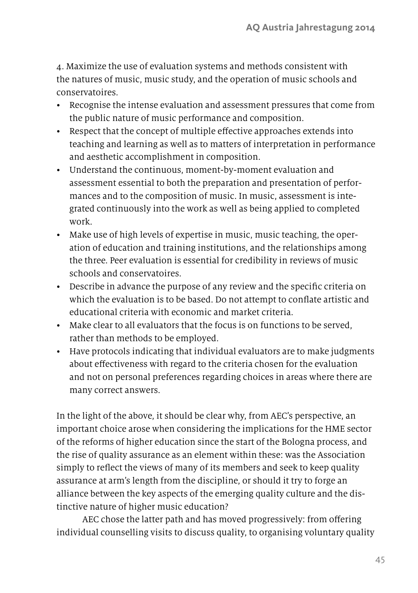4. Maximize the use of evaluation systems and methods consistent with the natures of music, music study, and the operation of music schools and conservatoires.

- Recognise the intense evaluation and assessment pressures that come from the public nature of music performance and composition.
- Respect that the concept of multiple effective approaches extends into teaching and learning as well as to matters of interpretation in performance and aesthetic accomplishment in composition.
- Understand the continuous, moment-by-moment evaluation and assessment essential to both the preparation and presentation of performances and to the composition of music. In music, assessment is integrated continuously into the work as well as being applied to completed work.
- Make use of high levels of expertise in music, music teaching, the operation of education and training institutions, and the relationships among the three. Peer evaluation is essential for credibility in reviews of music schools and conservatoires.
- Describe in advance the purpose of any review and the specific criteria on which the evaluation is to be based. Do not attempt to conflate artistic and educational criteria with economic and market criteria.
- Make clear to all evaluators that the focus is on functions to be served, rather than methods to be employed.
- Have protocols indicating that individual evaluators are to make judgments about effectiveness with regard to the criteria chosen for the evaluation and not on personal preferences regarding choices in areas where there are many correct answers.

In the light of the above, it should be clear why, from AEC's perspective, an important choice arose when considering the implications for the HME sector of the reforms of higher education since the start of the Bologna process, and the rise of quality assurance as an element within these: was the Association simply to reflect the views of many of its members and seek to keep quality assurance at arm's length from the discipline, or should it try to forge an alliance between the key aspects of the emerging quality culture and the distinctive nature of higher music education?

AEC chose the latter path and has moved progressively: from offering individual counselling visits to discuss quality, to organising voluntary quality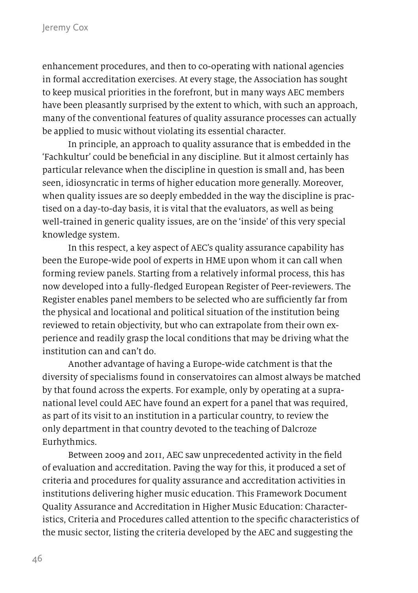enhancement procedures, and then to co-operating with national agencies in formal accreditation exercises. At every stage, the Association has sought to keep musical priorities in the forefront, but in many ways AEC members have been pleasantly surprised by the extent to which, with such an approach, many of the conventional features of quality assurance processes can actually be applied to music without violating its essential character.

In principle, an approach to quality assurance that is embedded in the 'Fachkultur' could be beneficial in any discipline. But it almost certainly has particular relevance when the discipline in question is small and, has been seen, idiosyncratic in terms of higher education more generally. Moreover, when quality issues are so deeply embedded in the way the discipline is practised on a day-to-day basis, it is vital that the evaluators, as well as being well-trained in generic quality issues, are on the 'inside' of this very special knowledge system.

In this respect, a key aspect of AEC's quality assurance capability has been the Europe-wide pool of experts in HME upon whom it can call when forming review panels. Starting from a relatively informal process, this has now developed into a fully-fledged European Register of Peer-reviewers. The Register enables panel members to be selected who are sufficiently far from the physical and locational and political situation of the institution being reviewed to retain objectivity, but who can extrapolate from their own experience and readily grasp the local conditions that may be driving what the institution can and can't do.

Another advantage of having a Europe-wide catchment is that the diversity of specialisms found in conservatoires can almost always be matched by that found across the experts. For example, only by operating at a supranational level could AEC have found an expert for a panel that was required, as part of its visit to an institution in a particular country, to review the only department in that country devoted to the teaching of Dalcroze Eurhythmics.

Between 2009 and 2011, AEC saw unprecedented activity in the field of evaluation and accreditation. Paving the way for this, it produced a set of criteria and procedures for quality assurance and accreditation activities in institutions delivering higher music education. This Framework Document Quality Assurance and Accreditation in Higher Music Education: Characteristics, Criteria and Procedures called attention to the specific characteristics of the music sector, listing the criteria developed by the AEC and suggesting the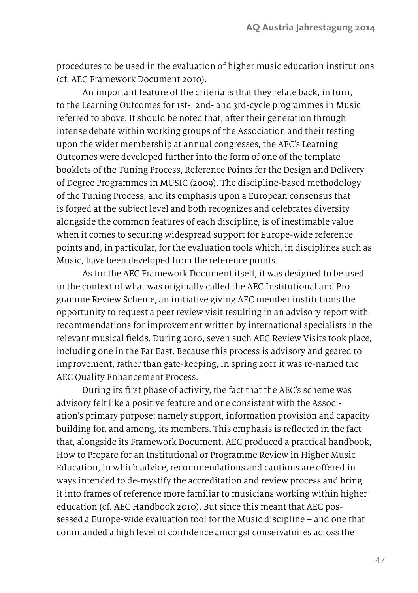procedures to be used in the evaluation of higher music education institutions (cf. AEC Framework Document 2010).

An important feature of the criteria is that they relate back, in turn, to the Learning Outcomes for 1st-, 2nd- and 3rd-cycle programmes in Music referred to above. It should be noted that, after their generation through intense debate within working groups of the Association and their testing upon the wider membership at annual congresses, the AEC's Learning Outcomes were developed further into the form of one of the template booklets of the Tuning Process, Reference Points for the Design and Delivery of Degree Programmes in MUSIC (2009). The discipline-based methodology of the Tuning Process, and its emphasis upon a European consensus that is forged at the subject level and both recognizes and celebrates diversity alongside the common features of each discipline, is of inestimable value when it comes to securing widespread support for Europe-wide reference points and, in particular, for the evaluation tools which, in disciplines such as Music, have been developed from the reference points.

As for the AEC Framework Document itself, it was designed to be used in the context of what was originally called the AEC Institutional and Programme Review Scheme, an initiative giving AEC member institutions the opportunity to request a peer review visit resulting in an advisory report with recommendations for improvement written by international specialists in the relevant musical fields. During 2010, seven such AEC Review Visits took place, including one in the Far East. Because this process is advisory and geared to improvement, rather than gate-keeping, in spring 2011 it was re-named the AEC Quality Enhancement Process.

During its first phase of activity, the fact that the AEC's scheme was advisory felt like a positive feature and one consistent with the Association's primary purpose: namely support, information provision and capacity building for, and among, its members. This emphasis is reflected in the fact that, alongside its Framework Document, AEC produced a practical handbook, How to Prepare for an Institutional or Programme Review in Higher Music Education, in which advice, recommendations and cautions are offered in ways intended to de-mystify the accreditation and review process and bring it into frames of reference more familiar to musicians working within higher education (cf. AEC Handbook 2010). But since this meant that AEC possessed a Europe-wide evaluation tool for the Music discipline – and one that commanded a high level of confidence amongst conservatoires across the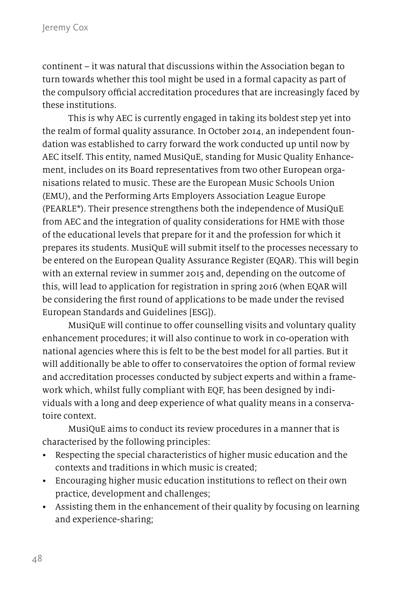continent – it was natural that discussions within the Association began to turn towards whether this tool might be used in a formal capacity as part of the compulsory official accreditation procedures that are increasingly faced by these institutions.

This is why AEC is currently engaged in taking its boldest step yet into the realm of formal quality assurance. In October 2014, an independent foundation was established to carry forward the work conducted up until now by AEC itself. This entity, named MusiQuE, standing for Music Quality Enhancement, includes on its Board representatives from two other European organisations related to music. These are the European Music Schools Union (EMU), and the Performing Arts Employers Association League Europe (PEARLE\*). Their presence strengthens both the independence of MusiQuE from AEC and the integration of quality considerations for HME with those of the educational levels that prepare for it and the profession for which it prepares its students. MusiQuE will submit itself to the processes necessary to be entered on the European Quality Assurance Register (EQAR). This will begin with an external review in summer 2015 and, depending on the outcome of this, will lead to application for registration in spring 2016 (when EQAR will be considering the first round of applications to be made under the revised European Standards and Guidelines [ESG]).

MusiQuE will continue to offer counselling visits and voluntary quality enhancement procedures; it will also continue to work in co-operation with national agencies where this is felt to be the best model for all parties. But it will additionally be able to offer to conservatoires the option of formal review and accreditation processes conducted by subject experts and within a framework which, whilst fully compliant with EQF, has been designed by individuals with a long and deep experience of what quality means in a conservatoire context.

MusiQuE aims to conduct its review procedures in a manner that is characterised by the following principles:

- Respecting the special characteristics of higher music education and the contexts and traditions in which music is created;
- Encouraging higher music education institutions to reflect on their own practice, development and challenges;
- Assisting them in the enhancement of their quality by focusing on learning and experience-sharing;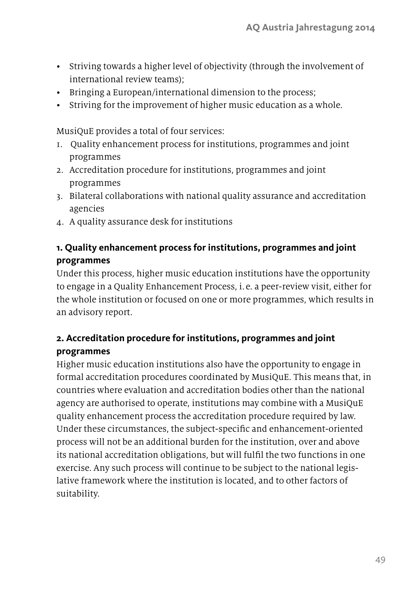- Striving towards a higher level of objectivity (through the involvement of international review teams);
- Bringing a European/international dimension to the process;
- Striving for the improvement of higher music education as a whole.

MusiQuE provides a total of four services:

- 1. Quality enhancement process for institutions, programmes and joint programmes
- 2. Accreditation procedure for institutions, programmes and joint programmes
- 3. Bilateral collaborations with national quality assurance and accreditation agencies
- 4. A quality assurance desk for institutions

## **1. Quality enhancement process for institutions, programmes and joint programmes**

Under this process, higher music education institutions have the opportunity to engage in a Quality Enhancement Process, i. e. a peer-review visit, either for the whole institution or focused on one or more programmes, which results in an advisory report.

### **2. Accreditation procedure for institutions, programmes and joint programmes**

Higher music education institutions also have the opportunity to engage in formal accreditation procedures coordinated by MusiQuE. This means that, in countries where evaluation and accreditation bodies other than the national agency are authorised to operate, institutions may combine with a MusiQuE quality enhancement process the accreditation procedure required by law. Under these circumstances, the subject-specific and enhancement-oriented process will not be an additional burden for the institution, over and above its national accreditation obligations, but will fulfil the two functions in one exercise. Any such process will continue to be subject to the national legislative framework where the institution is located, and to other factors of suitability.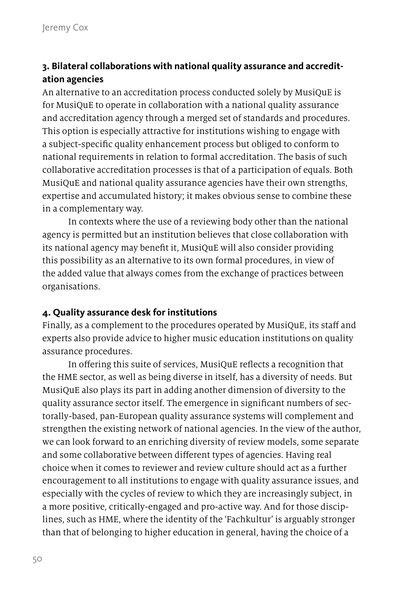## **3. Bilateral collaborations with national quality assurance and accreditation agencies**

An alternative to an accreditation process conducted solely by MusiQuE is for MusiQuE to operate in collaboration with a national quality assurance and accreditation agency through a merged set of standards and procedures. This option is especially attractive for institutions wishing to engage with a subject-specific quality enhancement process but obliged to conform to national requirements in relation to formal accreditation. The basis of such collaborative accreditation processes is that of a participation of equals. Both MusiQuE and national quality assurance agencies have their own strengths, expertise and accumulated history; it makes obvious sense to combine these in a complementary way.

In contexts where the use of a reviewing body other than the national agency is permitted but an institution believes that close collaboration with its national agency may benefit it, MusiQuE will also consider providing this possibility as an alternative to its own formal procedures, in view of the added value that always comes from the exchange of practices between organisations.

#### **4. Quality assurance desk for institutions**

Finally, as a complement to the procedures operated by MusiQuE, its staff and experts also provide advice to higher music education institutions on quality assurance procedures.

In offering this suite of services, MusiQuE reflects a recognition that the HME sector, as well as being diverse in itself, has a diversity of needs. But MusiQuE also plays its part in adding another dimension of diversity to the quality assurance sector itself. The emergence in significant numbers of sectorally-based, pan-European quality assurance systems will complement and strengthen the existing network of national agencies. In the view of the author, we can look forward to an enriching diversity of review models, some separate and some collaborative between different types of agencies. Having real choice when it comes to reviewer and review culture should act as a further encouragement to all institutions to engage with quality assurance issues, and especially with the cycles of review to which they are increasingly subject, in a more positive, critically-engaged and pro-active way. And for those disciplines, such as HME, where the identity of the 'Fachkultur' is arguably stronger than that of belonging to higher education in general, having the choice of a